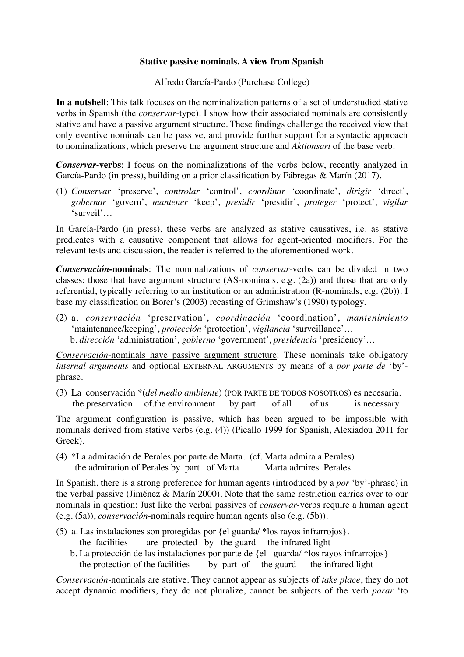## **Stative passive nominals. A view from Spanish**

Alfredo García-Pardo (Purchase College)

**In a nutshell**: This talk focuses on the nominalization patterns of a set of understudied stative verbs in Spanish (the *conservar*-type). I show how their associated nominals are consistently stative and have a passive argument structure. These findings challenge the received view that only eventive nominals can be passive, and provide further support for a syntactic approach to nominalizations, which preserve the argument structure and *Aktionsart* of the base verb.

*Conservar***-verbs**: I focus on the nominalizations of the verbs below, recently analyzed in García-Pardo (in press), building on a prior classification by Fábregas & Marín (2017).

(1) *Conservar* 'preserve', *controlar* 'control', *coordinar* 'coordinate', *dirigir* 'direct', *gobernar* 'govern', *mantener* 'keep', *presidir* 'presidir', *proteger* 'protect', *vigilar* 'surveil'…

In García-Pardo (in press), these verbs are analyzed as stative causatives, i.e. as stative predicates with a causative component that allows for agent-oriented modifiers. For the relevant tests and discussion, the reader is referred to the aforementioned work.

*Conservación***-nominals**: The nominalizations of *conservar-*verbs can be divided in two classes: those that have argument structure (AS-nominals, e.g. (2a)) and those that are only referential, typically referring to an institution or an administration (R-nominals, e.g. (2b)). I base my classification on Borer's (2003) recasting of Grimshaw's (1990) typology.

(2) a. *conservación* 'preservation', *coordinación* 'coordination', *mantenimiento* 'maintenance/keeping', *protección* 'protection', *vigilancia* 'surveillance'… b. *dirección* 'administration', *gobierno* 'government', *presidencia* 'presidency'…

*Conservación*-nominals have passive argument structure: These nominals take obligatory *internal arguments* and optional EXTERNAL ARGUMENTS by means of a *por parte de* 'by' phrase.

(3) La conservación \*(*del medio ambiente*) (POR PARTE DE TODOS NOSOTROS) es necesaria. the preservation of the environment by part of all of us is necessary

The argument configuration is passive, which has been argued to be impossible with nominals derived from stative verbs (e.g. (4)) (Picallo 1999 for Spanish, Alexiadou 2011 for Greek).

(4) \*La admiración de Perales por parte de Marta. (cf. Marta admira a Perales) the admiration of Perales by part of Marta Marta admires Perales

In Spanish, there is a strong preference for human agents (introduced by a *por* 'by'*-*phrase) in the verbal passive (Jiménez & Marín 2000). Note that the same restriction carries over to our nominals in question: Just like the verbal passives of *conservar-*verbs require a human agent (e.g. (5a)), *conservación*-nominals require human agents also (e.g. (5b)).

- (5) a. Las instalaciones son protegidas por {el guarda/ \*los rayos infrarrojos}. the facilities are protected by the guard the infrared light
	- b. La protección de las instalaciones por parte de {el guarda/ \*los rayos infrarrojos} the protection of the facilities by part of the guard the infrared light

*Conservación-*nominals are stative. They cannot appear as subjects of *take place*, they do not accept dynamic modifiers, they do not pluralize, cannot be subjects of the verb *parar* 'to